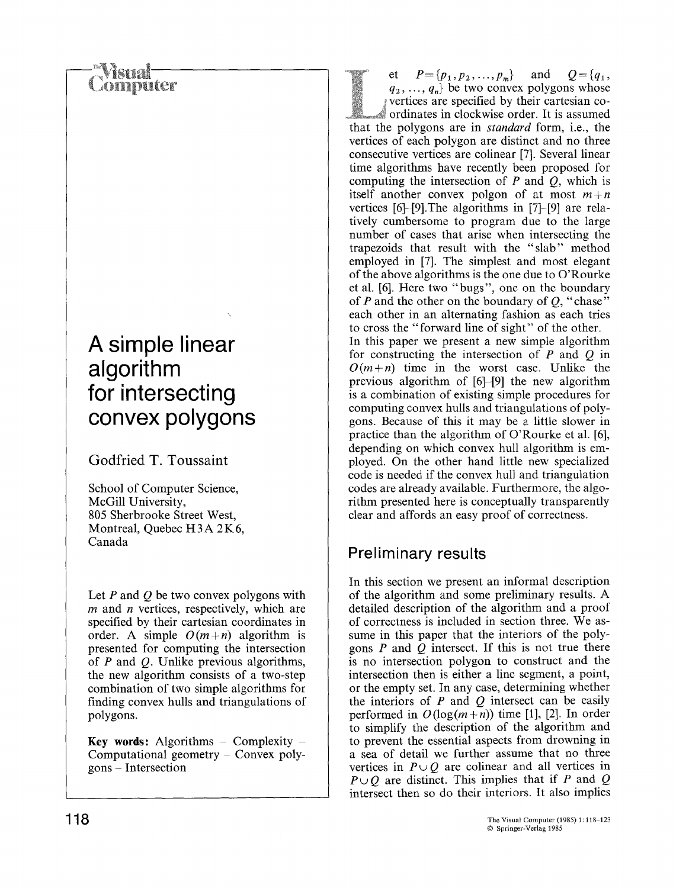### domouter

### **A simple linear algorithm for intersecting convex polygons**

**Godfried T. Toussaint** 

School of Computer Science, McGill University, 805 Sherbrooke Street West, Montreal, Quebec H3A 2K6, Canada

Let  $P$  and  $Q$  be two convex polygons with  $m$  and  $n$  vertices, respectively, which are specified by their cartesian coordinates in order. A simple  $O(m+n)$  algorithm is presented for computing the intersection of  $P$  and  $Q$ . Unlike previous algorithms, the new algorithm consists of a two-step combination of two simple algorithms for finding convex hulls and triangulations of polygons.

**Key** words: Algorithms **- Complexity - Computational** geometry - Convex polygons - Intersection

et  $P = \{p_1, p_2, ..., p_m\}$  and  $Q = \{q_1, q_2, ..., q_m\}$  $q_2, \ldots, q_n$  be two convex polygons whose vertices are specified by their cartesian coordinates in clockwise order. It is assumed that the polygons are in *standard* form, i.e., the vertices of each polygon are distinct and no three consecutive vertices are colinear [7]. Several linear time algorithms have recently been proposed for computing the intersection of  $P$  and  $Q$ , which is itself another convex polgon of at most *m+n*  vertices [6]-[9].The algorithms in [7]-[9] are relatively cumbersome to program due to the large number of cases that arise when intersecting the trapezoids that result with the "slab" method employed in [7]. The simplest and most elegant of the above algorithms is the one due to O'Rourke et al. [6]. Here two "bugs", one on the boundary of  $P$  and the other on the boundary of  $Q$ , "chase" each other in an alternating fashion as each tries to cross the "forward line of sight" of the other. In this paper we present a new simple algorithm for constructing the intersection of  $P$  and  $Q$  in  $O(m+n)$  time in the worst case. Unlike the previous algorithm of [6]-[9] the new algorithm is a combination of existing simple procedures for computing convex hulls and triangulations of polygons. Because of this it may be a little slower in practice than the algorithm of O'Rourke et al. [6], depending on which convex hull algorithm is employed. On the other hand little new specialized code is needed if the convex hull and triangulation codes are already available. Furthermore, the algorithm presented here is conceptually transparently clear and affords an easy proof of correctness.

#### **Preliminary results**

In this section we present an informal description of the algorithm and some preliminary results. A detailed description of the algorithm and a proof of correctness is included in section three. We assume in this paper that the interiors of the polygons  $P$  and  $Q$  intersect. If this is not true there is no intersection polygon to construct and the intersection then is either a line segment, a point, or the empty set. In any case, determining whether the interiors of  $P$  and  $Q$  intersect can be easily performed in  $O(log(m+n))$  time [1], [2]. In order to simplify the description of the algorithm and to prevent the essential aspects from drowning in a sea of detail we further assume that no three vertices in  $P \cup Q$  are colinear and all vertices in  $P \cup O$  are distinct. This implies that if P and Q intersect then so do their interiors. It also implies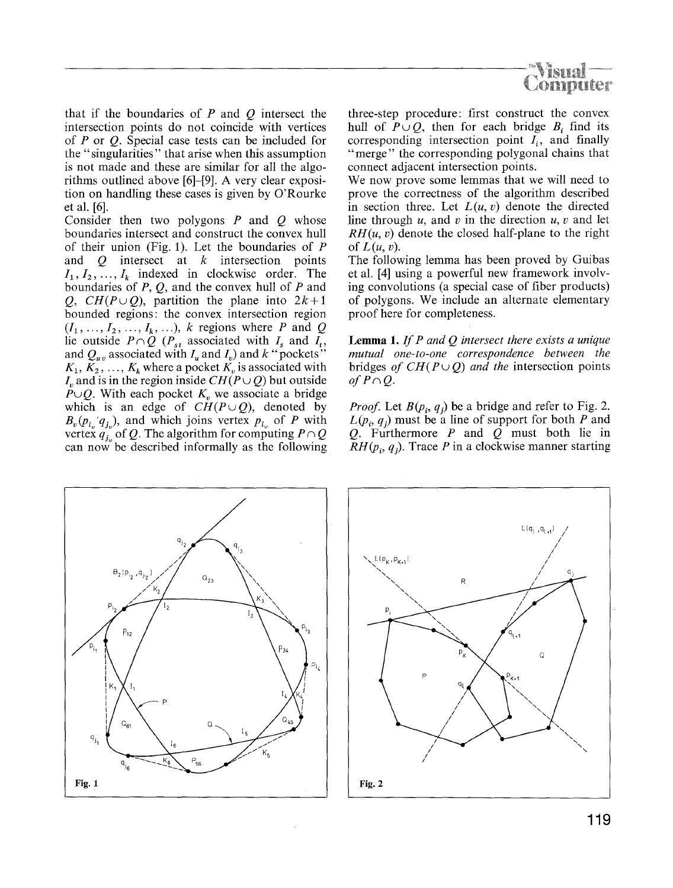

that if the boundaries of  $P$  and  $Q$  intersect the intersection points do not coincide with vertices of P or Q. Special case tests can be included for the "singularities" that arise when this assumption is not made and these are similar for all the algorithms outlined above [6]-[9]. A very clear exposition on handling these cases is given by O'Rourke et al. [6].

Consider then two polygons  $P$  and  $Q$  whose boundaries intersect and construct the convex hull of their union (Fig. 1). Let the boundaries of P and  $Q$  intersect at  $k$  intersection points  $I_1, I_2, \ldots, I_k$  indexed in clockwise order. The boundaries of  $P$ ,  $Q$ , and the convex hull of  $P$  and *Q, CH(P* $\cup$ *Q)*, partition the plane into 2k+1 bounded regions: the convex intersection region  $(I_1, \ldots, I_2, \ldots, I_k, \ldots)$ , k regions where P and Q lie outside  $P \cap Q$  ( $P_{st}$  associated with  $I_s$  and  $I_t$ , and  $Q_{uv}$  associated with  $I_u$  and  $I_v$ ) and k "pockets"  $K_1, K_2, \ldots, K_k$  where a pocket  $K_v$  is associated with I<sub>n</sub> and is in the region inside  $CH(P \cup Q)$  but outside  $P \cup Q$ . With each pocket  $K_v$  we associate a bridge which is an edge of  $CH(P\cup Q)$ , denoted by  $B_v(p_{i_v}q_{j_v})$ , and which joins vertex  $p_{i_v}$  of P with vertex  $q_{j_0}$  of Q. The algorithm for computing  $P \cap Q$ can now be described informally as the following three-step procedure: first construct the convex hull of  $P \cup Q$ , then for each bridge  $B_i$  find its corresponding intersection point  $I_i$ , and finally "merge" the corresponding polygonal chains that connect adjacent intersection points.

We now prove some lemmas that we will need to prove the correctness of the algorithm described in section three. Let  $L(u, v)$  denote the directed line through  $u$ , and  $v$  in the direction  $u$ ,  $v$  and let  $RH(u, v)$  denote the closed half-plane to the right of  $L(u, v)$ .

The following lemma has been proved by Guibas et al. [4] using a powerful new framework involving convolutions (a special case of fiber products) of polygons. We include an alternate elementary proof here for completeness.

**Lemma** 1. *If P and Q intersect there exists a unique mutual one-to-one correspondence between the*  bridges *of CH(* $P \cup O$ *) and the* intersection points *of*  $P \cap Q$ *.* 

*Proof.* Let  $B(p_i, q_i)$  be a bridge and refer to Fig. 2.  $L(p_i, q_j)$  must be a line of support for both P and Q. Furthermore  $P$  and  $Q$  must both lie in  $RH(p_i, q_i)$ . Trace P in a clockwise manner starting



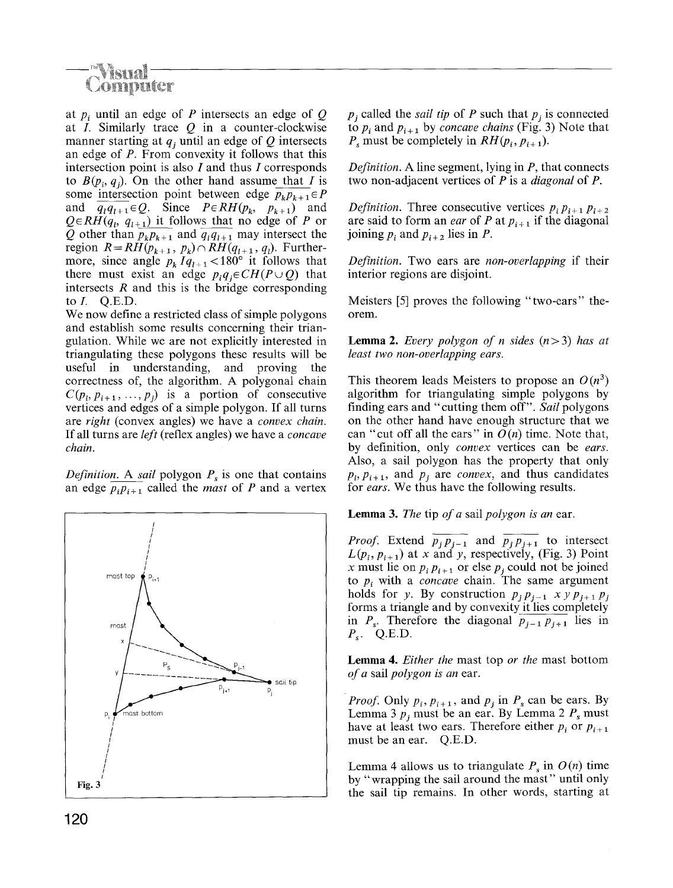# omputer

at  $p_i$  until an edge of P intersects an edge of Q at *I*. Similarly trace  $Q$  in a counter-clockwise manner starting at  $q_i$  until an edge of  $Q$  intersects an edge of P. From convexity it follows that this intersection point is also I and thus I corresponds to  $B(p_i, q_i)$ . On the other hand assume that I is some intersection point between edge  $p_k p_{k+1} \in P$ and  $\overline{q_i q_{i+1}} \in Q$ . Since  $P \in RH(p_k, p_{k+1})$  and  $Q \in RH(q_i, q_{i+1})$  it follows that no edge of P or Q other than  $p_k p_{k+1}$  and  $q_l q_{l+1}$  may intersect the region  $R = RH(p_{k+1}, p_k) \cap RH(q_{l+1}, q_l)$ . Furthermore, since angle  $p_k \tilde{I}q_{l+1} < 180^\circ$  it follows that there must exist an edge  $p_i q_j \in CH(P \cup Q)$  that intersects  $R$  and this is the bridge corresponding to  $I.$  Q.E.D.

We now define a restricted class of simple polygons and establish some results concerning their triangulation. While we are not explicitly interested in triangulating these polygons these results will be useful in understanding, and proving the correctness of, the algorithm. A polygonal chain  $C(p_i, p_{i+1},..., p_i)$  is a portion of consecutive vertices and edges of a simple polygon. If all turns are *right* (convex angles) we have a *convex chain.*  If all turns are *left* (reflex angles) we have a *concave chain.* 

*Definition.* A *sail* polygon  $P_s$  is one that contains an edge  $p_i p_{i+1}$  called the *mast* of P and a vertex



 $p_i$  called the *sail tip* of P such that  $p_i$  is connected to  $p_i$  and  $p_{i+1}$  by *concave chains* (Fig. 3) Note that  $P_{\rm s}$  must be completely in  $RH(p_i, p_{i+1}).$ 

*Definition.* A line segment, lying in P, that connects two non-adjacent vertices of P is a *diagonal* of P.

*Definition.* Three consecutive vertices  $p_i p_{i+1} p_{i+2}$ are said to form an *ear* of P at  $p_{i+1}$  if the diagonal joining  $p_i$  and  $p_{i+2}$  lies in P.

*Definition.* Two ears are *non-overlapping* if their interior regions are disjoint.

Meisters [5] proves the following "two-ears" theorem.

**Lemma 2.** *Every polygon of n sides*  $(n>3)$  *has at least two non-overlapping ears.* 

This theorem leads Meisters to propose an  $O(n^3)$ algorithm for triangulating simple polygons by finding ears and "cutting them off". *Sail* polygons on the other hand have enough structure that we can "cut off all the ears" in  $O(n)$  time. Note that, by definition, only *convex* vertices can be *ears.*  Also, a sail polygon has the property that only  $p_i, p_{i+1}$ , and  $p_j$  are *convex*, and thus candidates for *ears.* We thus have the following results.

**Lemma** 3. *The* tip *of a* sail *polygon is an* ear.

*Proof.* Extend  $\overline{p_j p_{j-1}}$  and  $\overline{p_j p_{j+1}}$  to intersect  $L(p_i, p_{i+1})$  at x and y, respectively, (Fig. 3) Point x must lie on  $p_i p_{i+1}$  or else  $p_j$  could not be joined to  $p_i$  with a *concave* chain. The same argument holds for y. By construction  $p_j p_{j-1}$  x y  $p_{j+1} p_j$ forms a triangle and by convexity it lies completely in  $P_s$ . Therefore the diagonal  $\overline{p_{j-1}p_{j+1}}$  lies in  $P_s$ . Q.E.D.

**Lemma** 4. *Either the* mast top *or the* mast bottom *of a* sail *polygon is an* ear.

*Proof.* Only  $p_i$ ,  $p_{i+1}$ , and  $p_j$  in  $P_s$  can be ears. By Lemma 3  $p_i$  must be an ear. By Lemma 2  $P_s$  must have at least two ears. Therefore either  $p_i$  or  $p_{i+1}$ must be an ear. Q.E.D.

Lemma 4 allows us to triangulate  $P_s$  in  $O(n)$  time by "wrapping the sail around the mast" until only the sail tip remains. In other words, starting at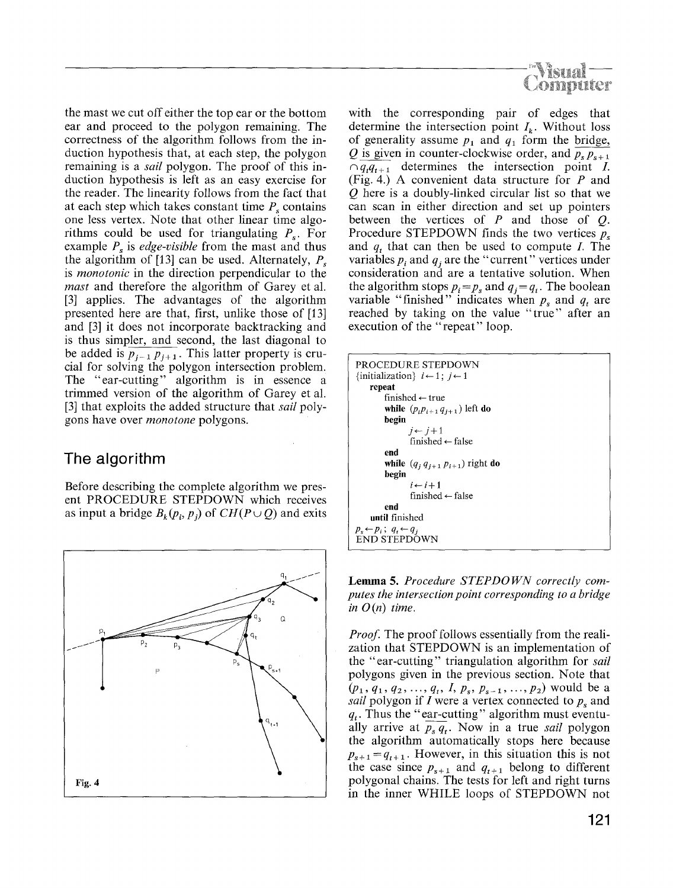

the mast we cut off either the top ear or the bottom ear and proceed to the polygon remaining. The correctness of the algorithm follows from the induction hypothesis that, at each step, the polygon remaining is a *sail* polygon. The proof of this induction hypothesis is left as an easy exercise for the reader. The linearity follows from the facf that at each step which takes constant time  $P_s$  contains one less vertex. Note that other linear time algorithms could be used for triangulating  $P_s$ . For example  $P_s$  is *edge-visible* from the mast and thus the algorithm of [13] can be used. Alternately,  $P_{\rm s}$ is *monotonic* in the direction perpendicular to the *mast* and therefore the algorithm of Garey et al. [3] applies. The advantages of the algorithm presented here are that, first, unlike those of [13] and [3] it does not incorporate backtracking and is thus simpler, and second, the last diagonal to be added is  $p_{i-1} p_{i+1}$ . This latter property is crucial for solving the polygon intersection problem. The "ear-cutting" algorithm is in essence a trimmed version of the algorithm of Garey et al. [3] that exploits the added structure that *sail* polygons have over *monotone* polygons.

#### **The algorithm**

Before describing the complete algorithm we present PROCEDURE STEPDOWN which receives as input a bridge  $B_k(p_i, p_j)$  of  $CH(P \cup Q)$  and exits



with the corresponding pair of edges that determine the intersection point  $I_k$ . Without loss of generality assume  $p_1$  and  $q_1$  form the bridge, Q is given in counter-clockwise order, and  $\overline{p_{s} p_{s+1}}$  $\overline{q_{t}q_{t+1}}$  determines the intersection point *I*. (Fig. 4.) A convenient data structure for P and Q here is a doubly-linked circular list so that we can scan in either direction and set up pointers between the vertices of  $P$  and those of  $Q$ . Procedure STEPDOWN finds the two vertices  $p<sub>s</sub>$ and *q*, that can then be used to compute *I*. The variables  $p_i$  and  $q_j$  are the "current" vertices under consideration and are a tentative solution. When the algorithm stops  $p_i = p_s$  and  $q_i = q_t$ . The boolean variable "finished" indicates when  $p_s$  and  $q_t$  are reached by taking on the value "true" after an execution of the "repeat" loop.

| PROCEDURE STEPDOWN                                   |
|------------------------------------------------------|
| {initialization} $i \leftarrow 1$ ; $i \leftarrow 1$ |
| repeat                                               |
| finished $\leftarrow$ true                           |
| while $(p_i p_{i+1} q_{i+1})$ left do                |
| begin                                                |
| $i \leftarrow i+1$                                   |
| finished $\leftarrow$ false                          |
| end                                                  |
| while $(q_i q_{i+1} p_{i+1})$ right do               |
| begin                                                |
| $i \leftarrow i+1$                                   |
| finished $\leftarrow$ false                          |
| end                                                  |
| until finished                                       |
| $p_s \leftarrow p_i$ ; $q_t \leftarrow q_i$          |
| <b>END STEPDOWN</b>                                  |

Lemma 5. *Procedure STEPDOWN correctly computes the intersection point corresponding to a bridge*   $in O(n)$  time.

*Proof.* The proof follows essentially from the realization that STEPDOWN is an implementation of the "ear-cutting" triangulation algorithm for *sail*  polygons given in the previous section. Note that  $(p_1, q_1, q_2, ..., q_t, I, p_s, p_{s-1}, ..., p_2)$  would be a *sail* polygon if  $I$  were a vertex connected to  $p_s$  and  $q_t$ . Thus the "ear-cutting" algorithm must eventually arrive at  $p_s \overline{q_t}$ . Now in a true *sail* polygon the algorithm automatically stops here because  $p_{s+1} = q_{t+1}$ . However, in this situation this is not the case since  $p_{s+1}$  and  $q_{t+1}$  belong to different polygonal chains. The tests for left and right turns in the inner WHILE loops of STEPDOWN not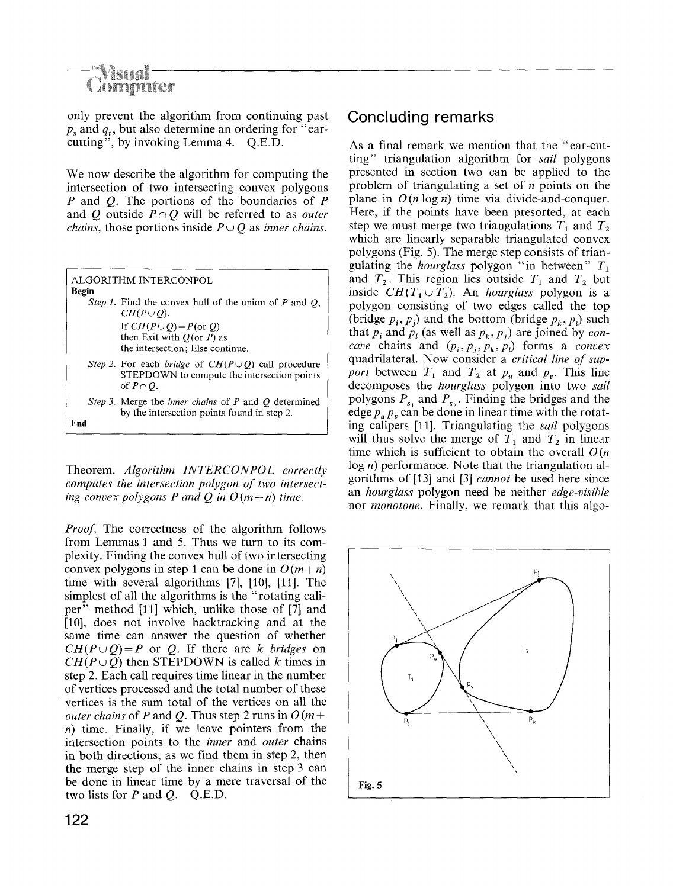# **Computer**

only prevent the algorithm from continuing past ps and *qt,* but also determine an ordering for "earcutting", by invoking Lemma 4. Q.E.D.

We now describe the algorithm for computing the intersection of two intersecting convex polygons P and O. The portions of the boundaries of P and Q outside  $P \cap Q$  will be referred to as *outer chains, those portions inside*  $P \cup O$  *as inner chains.* 

| Begin | ALGORITHM INTERCONPOL                                                                                                      |
|-------|----------------------------------------------------------------------------------------------------------------------------|
|       | <i>Step 1</i> . Find the convex hull of the union of P and $Q$ ,<br>$CH(P\cup O)$ .                                        |
|       | If $CH(P \cup Q) = P(\text{or } Q)$<br>then Exit with $Q$ (or $P$ ) as<br>the intersection; Else continue.                 |
|       | Step 2. For each bridge of $CH(P \cup Q)$ call procedure<br>STEPDOWN to compute the intersection points<br>of $P \cap O$ . |
|       | Step 3. Merge the <i>inner chains</i> of P and Q determined<br>by the intersection points found in step 2.                 |

Theorem. *Algorithm INTERCONPOL correctly computes the intersection polygon of two intersecting convex polygons P and O in*  $O(m+n)$  *time.* 

*Proof.* The correctness of the algorithm follows from Lemmas I and 5. Thus we turn to its complexity. Finding the convex hull of two intersecting convex polygons in step 1 can be done in  $O(m+n)$ time with several algorithms [7], [10], [11]. The simplest of all the algorithms is the "rotating caliper" method [11] which, unlike those of [7] and [10], does not involve backtracking and at the same time can answer the question of whether  $CH(P \cup Q) = P$  or Q. If there are *k* bridges on  $CH(P \cup Q)$  then STEPDOWN is called k times in step 2. Each call requires time linear in the number of vertices processed and the total number of these vertices is the sum total of the vertices on all the *outer chains* of P and Q. Thus step 2 runs in  $O(m +$  $n)$  time. Finally, if we leave pointers from the intersection points to the *inner* and *outer* chains in both directions, as we find them in step 2, then the merge step of the inner chains in step 3 can be done in linear time by a mere traversal of the two lists for  $P$  and  $Q$ . Q.E.D.

#### **Concluding remarks**

As a final remark we mention that the "ear-cutting" triangulation algorithm for *sail* polygons presented in section two can be applied to the problem of triangulating a set of  $n$  points on the plane in  $O(n \log n)$  time via divide-and-conquer. Here, if the points have been presorted, at each step we must merge two triangulations  $T_1$  and  $T_2$ which are linearly separable triangulated convex polygons (Fig. 5). The merge step consists of triangulating the *hourglass* polygon "in between"  $T_1$ and  $T_2$ . This region lies outside  $T_1$  and  $T_2$  but inside  $CH(T_1 \cup T_2)$ . An *hourglass* polygon is a polygon consisting of two edges called the top (bridge  $p_i, p_j$ ) and the bottom (bridge  $p_k, p_j$ ) such that  $p_i$  and  $p_i$  (as well as  $p_k, p_j$ ) are joined by *concave* chains and  $(p_i, p_j, p_k, p_l)$  forms a *convex* quadrilateral. Now consider a *critical line of support* between  $T_1$  and  $T_2$  at  $p_u$  and  $p_v$ . This line decomposes the *hourglass* polygon into two *sail*  polygons  $P_{s_1}$  and  $P_{s_2}$ . Finding the bridges and the edge  $p_n$ ,  $p_n$  can be done in linear time with the rotating calipers [11]. Triangulating the *sail* polygons will thus solve the merge of  $T_1$  and  $T_2$  in linear time which is sufficient to obtain the overall  $O(n)$ log *n*) performance. Note that the triangulation algorithms of [13] and [3] *cannot* be used here since an *hourglass* polygon need be neither *edge-visible*  nor *monotone.* Finally, we remark that this algo-



**End**